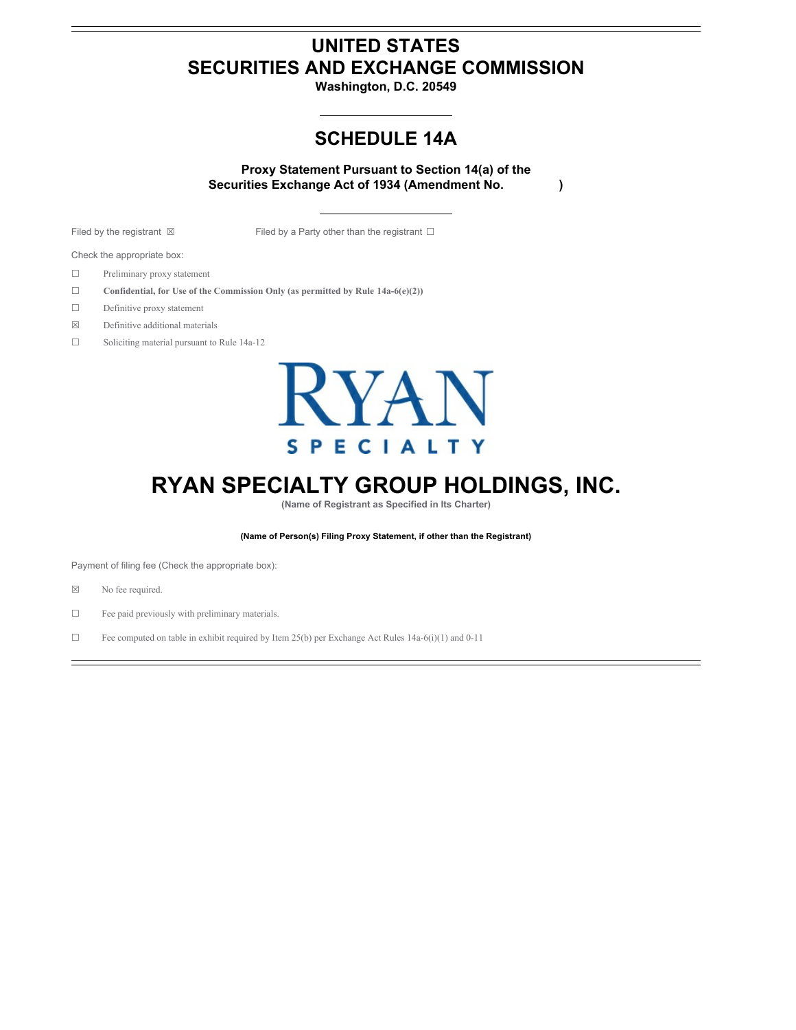# **UNITED STATES SECURITIES AND EXCHANGE COMMISSION**

**Washington, D.C. 20549**

# **SCHEDULE 14A**

**Proxy Statement Pursuant to Section 14(a) of the Securities Exchange Act of 1934 (Amendment No. )**

Filed by the registrant ⊠ Filed by a Party other than the registrant □

Check the appropriate box:

- ☐ Preliminary proxy statement
- ☐ **Confidential, for Use of the Commission Only (as permitted by Rule 14a-6(e)(2))**
- ☐ Definitive proxy statement
- ☒ Definitive additional materials
- ☐ Soliciting material pursuant to Rule 14a-12



# **RYAN SPECIALTY GROUP HOLDINGS, INC.**

**(Name of Registrant as Specified in Its Charter)**

**(Name of Person(s) Filing Proxy Statement, if other than the Registrant)**

Payment of filing fee (Check the appropriate box):

- ☒ No fee required.
- ☐ Fee paid previously with preliminary materials.
- ☐ Fee computed on table in exhibit required by Item 25(b) per Exchange Act Rules 14a-6(i)(1) and 0-11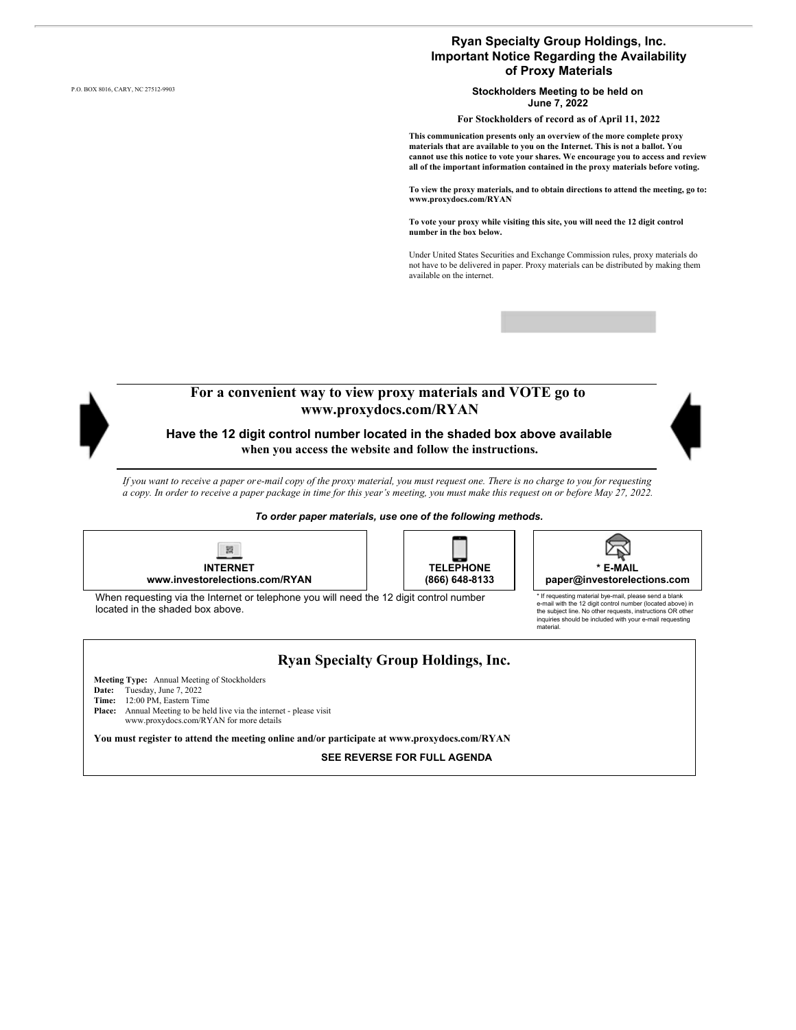### **Ryan Specialty Group Holdings, Inc. Important Notice Regarding the Availability of Proxy Materials**

P.O. BOX 8016, CARY, NC 27512-9903 **Stockholders Meeting to be held on June 7, 2022**

**For Stockholders of record as of April 11, 2022**

**This communication presents only an overview of the more complete proxy materials that are available to you on the Internet. This is not a ballot. You cannot use this notice to vote your shares. We encourage you to access and review all of the important information contained in the proxy materials before voting.**

**To view the proxy materials, and to obtain directions to attend the meeting, go to: www.proxydocs.com/RYAN**

**To vote your proxy while visiting this site, you will need the 12 digit control number in the box below.**

Under United States Securities and Exchange Commission rules, proxy materials do not have to be delivered in paper. Proxy materials can be distributed by making them available on the internet.



*To order paper materials, use one of the following methods.*







\* If requesting material bye-mail, please send a blank e-mail with the 12 digit control number (located above) in the subject line. No other requests, instructions OR other inquiries should be included with your e-mail requesting

material.

When requesting via the Internet or telephone you will need the 12 digit control number located in the shaded box above.

### **Ryan Specialty Group Holdings, Inc.**

**Meeting Type:** Annual Meeting of Stockholders

- **Date:** Tuesday, June 7, 2022
- **Time:** 12:00 PM, Eastern Time

**Place:** Annual Meeting to be held live via the internet - please visit www.proxydocs.com/RYAN for more details

**You must register to attend the meeting online and/or participate at www.proxydocs.com/RYAN**

**SEE REVERSE FOR FULL AGENDA**